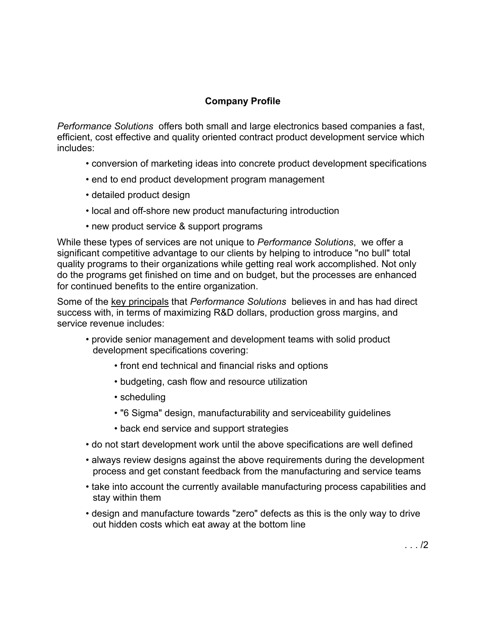## **Company Profile**

*Performance Solutions* offers both small and large electronics based companies a fast, efficient, cost effective and quality oriented contract product development service which includes:

- conversion of marketing ideas into concrete product development specifications
- end to end product development program management
- detailed product design
- local and off-shore new product manufacturing introduction
- new product service & support programs

While these types of services are not unique to *Performance Solutions*, we offer a significant competitive advantage to our clients by helping to introduce "no bull" total quality programs to their organizations while getting real work accomplished. Not only do the programs get finished on time and on budget, but the processes are enhanced for continued benefits to the entire organization.

Some of the key principals that *Performance Solutions* believes in and has had direct success with, in terms of maximizing R&D dollars, production gross margins, and service revenue includes:

- provide senior management and development teams with solid product development specifications covering:
	- front end technical and financial risks and options
	- budgeting, cash flow and resource utilization
	- scheduling
	- "6 Sigma" design, manufacturability and serviceability guidelines
	- back end service and support strategies
- do not start development work until the above specifications are well defined
- always review designs against the above requirements during the development process and get constant feedback from the manufacturing and service teams
- take into account the currently available manufacturing process capabilities and stay within them
- design and manufacture towards "zero" defects as this is the only way to drive out hidden costs which eat away at the bottom line